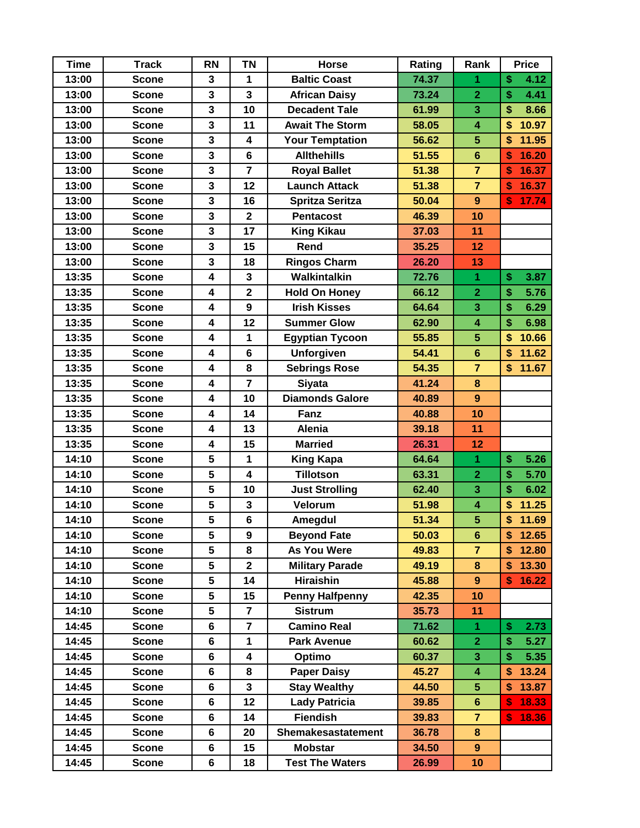| <b>Time</b> | <b>Track</b> | <b>RN</b>               | <b>TN</b>               | <b>Horse</b>           | Rating | Rank                    | <b>Price</b> |
|-------------|--------------|-------------------------|-------------------------|------------------------|--------|-------------------------|--------------|
| 13:00       | <b>Scone</b> | 3                       | 1                       | <b>Baltic Coast</b>    | 74.37  | 1                       | \$<br>4.12   |
| 13:00       | <b>Scone</b> | 3                       | $\overline{\mathbf{3}}$ | <b>African Daisy</b>   | 73.24  | $\overline{2}$          | \$<br>4.41   |
| 13:00       | <b>Scone</b> | 3                       | 10                      | <b>Decadent Tale</b>   | 61.99  | 3                       | \$<br>8.66   |
| 13:00       | <b>Scone</b> | 3                       | 11                      | <b>Await The Storm</b> | 58.05  | $\overline{\mathbf{4}}$ | \$<br>10.97  |
| 13:00       | <b>Scone</b> | 3                       | 4                       | <b>Your Temptation</b> | 56.62  | $5\phantom{.}$          | 11.95<br>\$  |
| 13:00       | <b>Scone</b> | 3                       | $6\phantom{a}$          | <b>Allthehills</b>     | 51.55  | $6\phantom{a}$          | 16.20<br>\$  |
| 13:00       | <b>Scone</b> | 3                       | $\overline{7}$          | <b>Royal Ballet</b>    | 51.38  | $\overline{7}$          | 16.37<br>\$  |
| 13:00       | <b>Scone</b> | 3                       | 12                      | <b>Launch Attack</b>   | 51.38  | $\overline{7}$          | 16.37<br>\$  |
| 13:00       | <b>Scone</b> | 3                       | 16                      | <b>Spritza Seritza</b> | 50.04  | $\overline{9}$          | 17.74<br>\$  |
| 13:00       | <b>Scone</b> | 3                       | $\mathbf{2}$            | <b>Pentacost</b>       | 46.39  | 10                      |              |
| 13:00       | <b>Scone</b> | 3                       | 17                      | <b>King Kikau</b>      | 37.03  | 11                      |              |
| 13:00       | <b>Scone</b> | 3                       | 15                      | Rend                   | 35.25  | 12                      |              |
| 13:00       | <b>Scone</b> | 3                       | 18                      | <b>Ringos Charm</b>    | 26.20  | 13                      |              |
| 13:35       | Scone        | 4                       | 3                       | Walkintalkin           | 72.76  | 1                       | \$<br>3.87   |
| 13:35       | <b>Scone</b> | $\overline{\mathbf{4}}$ | $\overline{\mathbf{2}}$ | <b>Hold On Honey</b>   | 66.12  | $\overline{2}$          | \$<br>5.76   |
| 13:35       | <b>Scone</b> | $\overline{\mathbf{4}}$ | $\overline{9}$          | <b>Irish Kisses</b>    | 64.64  | $\overline{\mathbf{3}}$ | \$<br>6.29   |
| 13:35       | <b>Scone</b> | 4                       | 12                      | <b>Summer Glow</b>     | 62.90  | $\overline{\mathbf{4}}$ | \$<br>6.98   |
| 13:35       | <b>Scone</b> | 4                       | 1                       | <b>Egyptian Tycoon</b> | 55.85  | 5 <sup>5</sup>          | \$<br>10.66  |
| 13:35       | <b>Scone</b> | 4                       | $\bf 6$                 | <b>Unforgiven</b>      | 54.41  | $6\phantom{1}$          | 11.62<br>\$  |
| 13:35       | <b>Scone</b> | 4                       | 8                       | <b>Sebrings Rose</b>   | 54.35  | $\overline{7}$          | \$<br>11.67  |
| 13:35       | <b>Scone</b> | $\overline{\mathbf{4}}$ | $\overline{7}$          | <b>Siyata</b>          | 41.24  | 8                       |              |
| 13:35       | <b>Scone</b> | $\overline{\mathbf{4}}$ | 10                      | <b>Diamonds Galore</b> | 40.89  | $\overline{9}$          |              |
| 13:35       | <b>Scone</b> | 4                       | 14                      | Fanz                   | 40.88  | 10                      |              |
| 13:35       | <b>Scone</b> | 4                       | 13                      | <b>Alenia</b>          | 39.18  | 11                      |              |
| 13:35       | <b>Scone</b> | 4                       | 15                      | <b>Married</b>         | 26.31  | 12                      |              |
| 14:10       | <b>Scone</b> | 5                       | 1                       | King Kapa              | 64.64  | 1                       | \$<br>5.26   |
| 14:10       | <b>Scone</b> | 5                       | $\overline{\mathbf{4}}$ | <b>Tillotson</b>       | 63.31  | $\overline{2}$          | \$<br>5.70   |
| 14:10       | <b>Scone</b> | 5                       | 10                      | <b>Just Strolling</b>  | 62.40  | 3                       | \$<br>6.02   |
| 14:10       | <b>Scone</b> | 5                       | $\mathbf{3}$            | Velorum                | 51.98  | $\overline{\mathbf{4}}$ | 11.25<br>\$  |
| 14:10       | <b>Scone</b> | 5                       | $6\phantom{1}$          | Amegdul                | 51.34  | $5\overline{)}$         | \$<br>11.69  |
| 14:10       | <b>Scone</b> | 5                       | 9                       | <b>Beyond Fate</b>     | 50.03  | $6\phantom{1}$          | \$12.65      |
| 14:10       | <b>Scone</b> | 5                       | 8                       | <b>As You Were</b>     | 49.83  | $\overline{7}$          | 12.80<br>\$  |
| 14:10       | <b>Scone</b> | 5                       | $\overline{\mathbf{2}}$ | <b>Military Parade</b> | 49.19  | 8                       | 13.30<br>\$  |
| 14:10       | <b>Scone</b> | 5                       | 14                      | <b>Hiraishin</b>       | 45.88  | 9                       | 16.22<br>\$  |
| 14:10       | <b>Scone</b> | 5                       | 15                      | <b>Penny Halfpenny</b> | 42.35  | 10                      |              |
| 14:10       | <b>Scone</b> | 5                       | $\overline{\mathbf{r}}$ | <b>Sistrum</b>         | 35.73  | 11                      |              |
| 14:45       | <b>Scone</b> | 6                       | $\overline{7}$          | <b>Camino Real</b>     | 71.62  | 1                       | 2.73<br>\$   |
| 14:45       | <b>Scone</b> | 6                       | 1                       | <b>Park Avenue</b>     | 60.62  | $\overline{2}$          | \$<br>5.27   |
| 14:45       | <b>Scone</b> | 6                       | 4                       | Optimo                 | 60.37  | 3                       | \$<br>5.35   |
| 14:45       | <b>Scone</b> | 6                       | 8                       | <b>Paper Daisy</b>     | 45.27  | 4                       | \$<br>13.24  |
| 14:45       | <b>Scone</b> | 6                       | $\mathbf{3}$            | <b>Stay Wealthy</b>    | 44.50  | 5 <sup>5</sup>          | 13.87<br>\$  |
| 14:45       | <b>Scone</b> | 6                       | 12                      | <b>Lady Patricia</b>   | 39.85  | $6\phantom{a}$          | 18.33<br>S   |
| 14:45       | <b>Scone</b> | 6                       | 14                      | <b>Fiendish</b>        | 39.83  | $\overline{7}$          | 18.36<br>\$. |
| 14:45       | <b>Scone</b> | 6                       | 20                      | Shemakesastatement     | 36.78  | 8                       |              |
| 14:45       | Scone        | 6                       | 15                      | <b>Mobstar</b>         | 34.50  | 9                       |              |
| 14:45       | <b>Scone</b> | 6                       | 18                      | <b>Test The Waters</b> | 26.99  | 10                      |              |